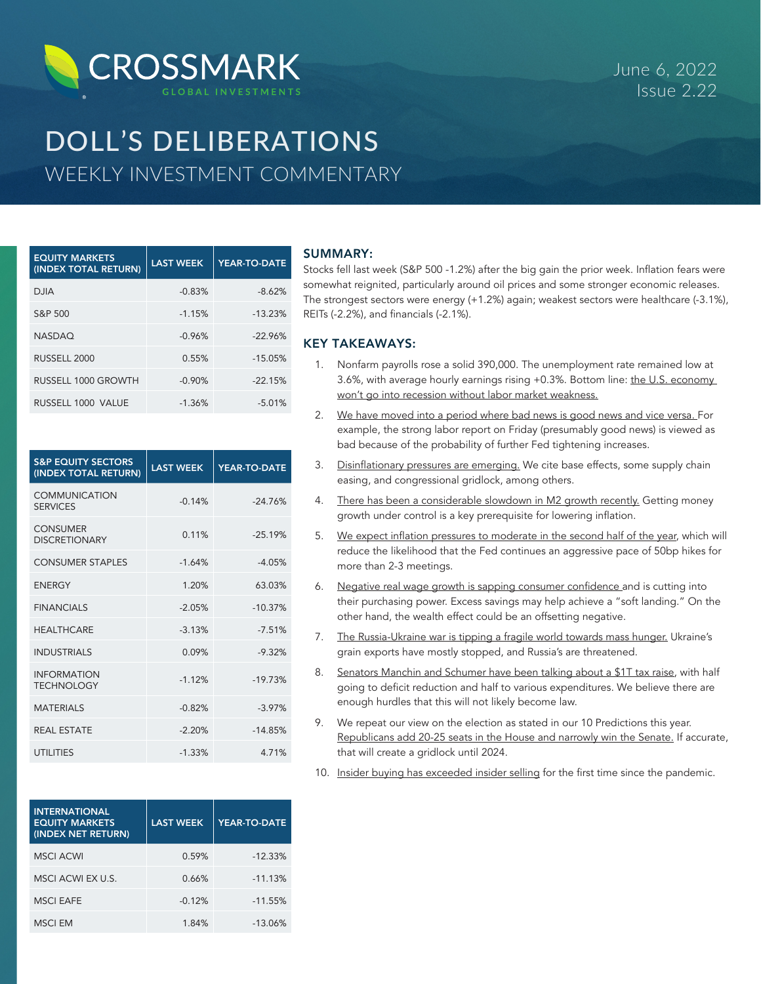

# DOLL'S DELIBERATIONS WEEKLY INVESTMENT COMMENTARY

| <b>EQUITY MARKETS</b><br>(INDEX TOTAL RETURN) | <b>LAST WEEK</b> | YEAR-TO-DATE |
|-----------------------------------------------|------------------|--------------|
| <b>DJIA</b>                                   | $-0.83%$         | $-8.62%$     |
| S&P 500                                       | $-1.15%$         | $-13.23%$    |
| <b>NASDAQ</b>                                 | $-0.96%$         | $-22.96%$    |
| RUSSELL 2000                                  | 0.55%            | $-15.05%$    |
| RUSSELL 1000 GROWTH                           | $-0.90%$         | $-22.15%$    |
| RUSSELL 1000 VALUE                            | $-1.36%$         | $-5.01%$     |

| <b>S&amp;P EQUITY SECTORS</b><br>(INDEX TOTAL RETURN) | <b>LAST WEEK</b> | <b>YEAR-TO-DATE</b> |
|-------------------------------------------------------|------------------|---------------------|
| COMMUNICATION<br><b>SERVICES</b>                      | $-0.14%$         | $-24.76%$           |
| <b>CONSUMER</b><br><b>DISCRETIONARY</b>               | 0.11%            | $-25.19%$           |
| <b>CONSUMER STAPLES</b>                               | $-1.64%$         | $-4.05%$            |
| <b>FNFRGY</b>                                         | 1.20%            | 63.03%              |
| <b>FINANCIALS</b>                                     | $-2.05%$         | $-10.37%$           |
| <b>HFAITHCARF</b>                                     | $-3.13%$         | $-7.51%$            |
| <b>INDUSTRIALS</b>                                    | 0.09%            | $-9.32%$            |
| <b>INFORMATION</b><br><b>TECHNOLOGY</b>               | $-1.12%$         | $-19.73%$           |
| <b>MATERIALS</b>                                      | $-0.82%$         | $-3.97%$            |
| <b>REAL ESTATE</b>                                    | $-2.20%$         | $-14.85%$           |
| <b>UTILITIES</b>                                      | $-1.33%$         | 4.71%               |

| <b>INTERNATIONAL</b><br><b>EQUITY MARKETS</b><br>(INDEX NET RETURN) | <b>LAST WEEK</b> | YEAR-TO-DATE |
|---------------------------------------------------------------------|------------------|--------------|
| <b>MSCI ACWI</b>                                                    | 0.59%            | $-12.33%$    |
| MSCI ACWI EX U.S.                                                   | 0.66%            | $-11.13%$    |
| <b>MSCI EAFE</b>                                                    | $-0.12%$         | $-11.55%$    |
| MSCI FM                                                             | 1.84%            | $-13.06%$    |

## SUMMARY:

Stocks fell last week (S&P 500 -1.2%) after the big gain the prior week. Inflation fears were somewhat reignited, particularly around oil prices and some stronger economic releases. The strongest sectors were energy (+1.2%) again; weakest sectors were healthcare (-3.1%), REITs (-2.2%), and financials (-2.1%).

## KEY TAKEAWAYS:

- 1. Nonfarm payrolls rose a solid 390,000. The unemployment rate remained low at 3.6%, with average hourly earnings rising +0.3%. Bottom line: the U.S. economy won't go into recession without labor market weakness.
- 2. We have moved into a period where bad news is good news and vice versa. For example, the strong labor report on Friday (presumably good news) is viewed as bad because of the probability of further Fed tightening increases.
- 3. Disinflationary pressures are emerging. We cite base effects, some supply chain easing, and congressional gridlock, among others.
- 4. There has been a considerable slowdown in M2 growth recently. Getting money growth under control is a key prerequisite for lowering inflation.
- 5. We expect inflation pressures to moderate in the second half of the year, which will reduce the likelihood that the Fed continues an aggressive pace of 50bp hikes for more than 2-3 meetings.
- 6. Negative real wage growth is sapping consumer confidence and is cutting into their purchasing power. Excess savings may help achieve a "soft landing." On the other hand, the wealth effect could be an offsetting negative.
- 7. The Russia-Ukraine war is tipping a fragile world towards mass hunger. Ukraine's grain exports have mostly stopped, and Russia's are threatened.
- 8. Senators Manchin and Schumer have been talking about a \$1T tax raise, with half going to deficit reduction and half to various expenditures. We believe there are enough hurdles that this will not likely become law.
- 9. We repeat our view on the election as stated in our 10 Predictions this year. Republicans add 20-25 seats in the House and narrowly win the Senate. If accurate, that will create a gridlock until 2024.
- 10. Insider buying has exceeded insider selling for the first time since the pandemic.